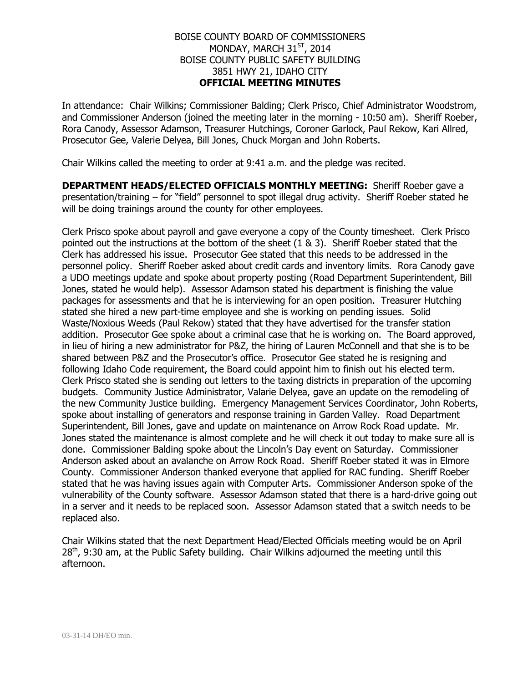## BOISE COUNTY BOARD OF COMMISSIONERS MONDAY, MARCH 31<sup>ST</sup>, 2014 BOISE COUNTY PUBLIC SAFETY BUILDING 3851 HWY 21, IDAHO CITY **OFFICIAL MEETING MINUTES**

In attendance: Chair Wilkins; Commissioner Balding; Clerk Prisco, Chief Administrator Woodstrom, and Commissioner Anderson (joined the meeting later in the morning - 10:50 am). Sheriff Roeber, Rora Canody, Assessor Adamson, Treasurer Hutchings, Coroner Garlock, Paul Rekow, Kari Allred, Prosecutor Gee, Valerie Delyea, Bill Jones, Chuck Morgan and John Roberts.

Chair Wilkins called the meeting to order at 9:41 a.m. and the pledge was recited.

**DEPARTMENT HEADS/ELECTED OFFICIALS MONTHLY MEETING:** Sheriff Roeber gave a presentation/training – for "field" personnel to spot illegal drug activity. Sheriff Roeber stated he will be doing trainings around the county for other employees.

Clerk Prisco spoke about payroll and gave everyone a copy of the County timesheet. Clerk Prisco pointed out the instructions at the bottom of the sheet (1 & 3). Sheriff Roeber stated that the Clerk has addressed his issue. Prosecutor Gee stated that this needs to be addressed in the personnel policy. Sheriff Roeber asked about credit cards and inventory limits. Rora Canody gave a UDO meetings update and spoke about property posting (Road Department Superintendent, Bill Jones, stated he would help). Assessor Adamson stated his department is finishing the value packages for assessments and that he is interviewing for an open position. Treasurer Hutching stated she hired a new part-time employee and she is working on pending issues. Solid Waste/Noxious Weeds (Paul Rekow) stated that they have advertised for the transfer station addition. Prosecutor Gee spoke about a criminal case that he is working on. The Board approved, in lieu of hiring a new administrator for P&Z, the hiring of Lauren McConnell and that she is to be shared between P&Z and the Prosecutor's office. Prosecutor Gee stated he is resigning and following Idaho Code requirement, the Board could appoint him to finish out his elected term. Clerk Prisco stated she is sending out letters to the taxing districts in preparation of the upcoming budgets. Community Justice Administrator, Valarie Delyea, gave an update on the remodeling of the new Community Justice building. Emergency Management Services Coordinator, John Roberts, spoke about installing of generators and response training in Garden Valley. Road Department Superintendent, Bill Jones, gave and update on maintenance on Arrow Rock Road update. Mr. Jones stated the maintenance is almost complete and he will check it out today to make sure all is done. Commissioner Balding spoke about the Lincoln's Day event on Saturday. Commissioner Anderson asked about an avalanche on Arrow Rock Road. Sheriff Roeber stated it was in Elmore County. Commissioner Anderson thanked everyone that applied for RAC funding. Sheriff Roeber stated that he was having issues again with Computer Arts. Commissioner Anderson spoke of the vulnerability of the County software. Assessor Adamson stated that there is a hard-drive going out in a server and it needs to be replaced soon. Assessor Adamson stated that a switch needs to be replaced also.

Chair Wilkins stated that the next Department Head/Elected Officials meeting would be on April  $28<sup>th</sup>$ , 9:30 am, at the Public Safety building. Chair Wilkins adjourned the meeting until this afternoon.